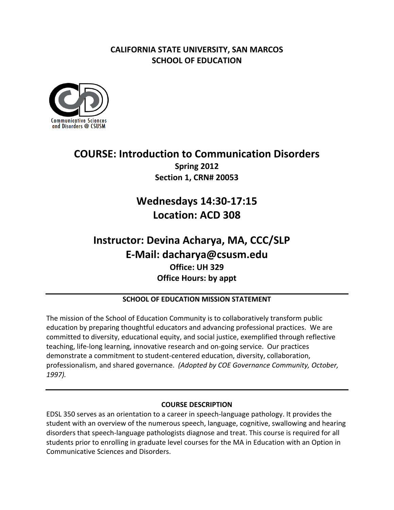## **CALIFORNIA STATE UNIVERSITY, SAN MARCOS SCHOOL OF EDUCATION**



## **COURSE: Introduction to Communication Disorders Spring 2012 Section 1, CRN# 20053**

# **Wednesdays 14:30‐17:15 Location: ACD 308**

## **Instructor: Devina Acharya, MA, CCC/SLP Office: UH 329 Office Hours: by appt E‐Mail: dacharya@csusm.edu**

## **SCHOOL OF EDUCATION MISSION STATEMENT**

 The mission of the School of Education Community is to collaboratively transform public education by preparing thoughtful educators and advancing professional practices. We are committed to diversity, educational equity, and social justice, exemplified through reflective teaching, life‐long learning, innovative research and on‐going service. Our practices demonstrate a commitment to student‐centered education, diversity, collaboration,  professionalism, and shared governance. *(Adopted by COE Governance Community, October, 1997).*

## **COURSE DESCRIPTION**

 EDSL 350 serves as an orientation to a career in speech‐language pathology. It provides the student with an overview of the numerous speech, language, cognitive, swallowing and hearing disorders that speech‐language pathologists diagnose and treat. This course is required for all students prior to enrolling in graduate level courses for the MA in Education with an Option in Communicative Sciences and Disorders.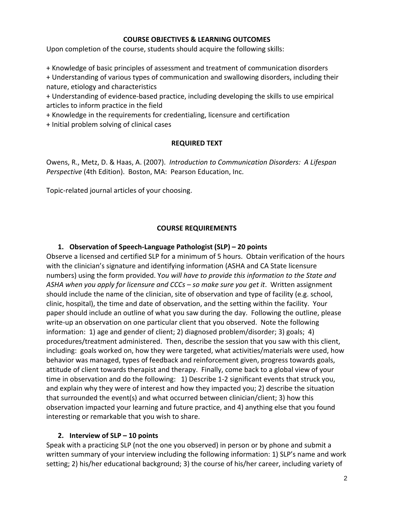## **COURSE OBJECTIVES & LEARNING OUTCOMES**

Upon completion of the course, students should acquire the following skills:

+ Knowledge of basic principles of assessment and treatment of communication disorders

 + Understanding of various types of communication and swallowing disorders, including their nature, etiology and characteristics

 + Understanding of evidence‐based practice, including developing the skills to use empirical articles to inform practice in the field

+ Knowledge in the requirements for credentialing, licensure and certification

+ Initial problem solving of clinical cases

## **REQUIRED TEXT**

  Owens, R., Metz, D. & Haas, A. (2007). *Introduction to Communication Disorders: A Lifespan Perspective* (4th Edition). Boston, MA: Pearson Education, Inc.

Topic‐related journal articles of your choosing.

## **COURSE REQUIREMENTS**

## **1. Observation of Speech‐Language Pathologist (SLP) – 20 points**

 Observe a licensed and certified SLP for a minimum of 5 hours. Obtain verification of the hours with the clinician's signature and identifying information (ASHA and CA State licensure  numbers) using the form provided. Y*ou will have to provide this information to the State and* ASHA when you apply for licensure and CCCs – so make sure you get it. Written assignment should include the name of the clinician, site of observation and type of facility (e.g. school, clinic, hospital), the time and date of observation, and the setting within the facility. Your paper should include an outline of what you saw during the day. Following the outline, please write‐up an observation on one particular client that you observed. Note the following information: 1) age and gender of client; 2) diagnosed problem/disorder; 3) goals; 4) procedures/treatment administered. Then, describe the session that you saw with this client, including: goals worked on, how they were targeted, what activities/materials were used, how behavior was managed, types of feedback and reinforcement given, progress towards goals, attitude of client towards therapist and therapy. Finally, come back to a global view of your time in observation and do the following: 1) Describe 1‐2 significant events that struck you, and explain why they were of interest and how they impacted you; 2) describe the situation that surrounded the event(s) and what occurred between clinician/client; 3) how this observation impacted your learning and future practice, and 4) anything else that you found interesting or remarkable that you wish to share.

## **2. Interview of SLP – 10 points**

 Speak with a practicing SLP (not the one you observed) in person or by phone and submit a written summary of your interview including the following information: 1) SLP's name and work setting; 2) his/her educational background; 3) the course of his/her career, including variety of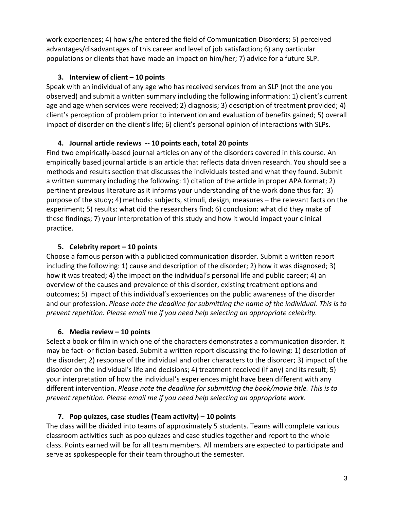work experiences; 4) how s/he entered the field of Communication Disorders; 5) perceived advantages/disadvantages of this career and level of job satisfaction; 6) any particular populations or clients that have made an impact on him/her; 7) advice for a future SLP.

## **3. Interview of client – 10 points**

 Speak with an individual of any age who has received services from an SLP (not the one you observed) and submit a written summary including the following information: 1) client's current age and age when services were received; 2) diagnosis; 3) description of treatment provided; 4) client's perception of problem prior to intervention and evaluation of benefits gained; 5) overall impact of disorder on the client's life; 6) client's personal opinion of interactions with SLPs.

## **4. Journal article reviews ‐‐ 10 points each, total 20 points**

 Find two empirically‐based journal articles on any of the disorders covered in this course. An empirically based journal article is an article that reflects data driven research. You should see a methods and results section that discusses the individuals tested and what they found. Submit a written summary including the following: 1) citation of the article in proper APA format; 2) pertinent previous literature as it informs your understanding of the work done thus far; 3) purpose of the study; 4) methods: subjects, stimuli, design, measures – the relevant facts on the experiment; 5) results: what did the researchers find; 6) conclusion: what did they make of these findings; 7) your interpretation of this study and how it would impact your clinical practice.

## **5. Celebrity report – 10 points**

 Choose a famous person with a publicized communication disorder. Submit a written report including the following: 1) cause and description of the disorder; 2) how it was diagnosed; 3) how it was treated; 4) the impact on the individual's personal life and public career; 4) an overview of the causes and prevalence of this disorder, existing treatment options and outcomes; 5) impact of this individual's experiences on the public awareness of the disorder and our profession. Please note the deadline for submitting the name of the individual. This is to  *prevent repetition. Please email me if you need help selecting an appropriate celebrity.*

## **6. Media review – 10 points**

 Select a book or film in which one of the characters demonstrates a communication disorder. It may be fact‐ or fiction‐based. Submit a written report discussing the following: 1) description of the disorder; 2) response of the individual and other characters to the disorder; 3) impact of the disorder on the individual's life and decisions; 4) treatment received (if any) and its result; 5) your interpretation of how the individual's experiences might have been different with any  different intervention. *Please note the deadline for submitting the book/movie title. This is to prevent repetition. Please email me if you need help selecting an appropriate work.*

## **7. Pop quizzes, case studies (Team activity) – 10 points**

 The class will be divided into teams of approximately 5 students. Teams will complete various classroom activities such as pop quizzes and case studies together and report to the whole class. Points earned will be for all team members. All members are expected to participate and serve as spokespeople for their team throughout the semester.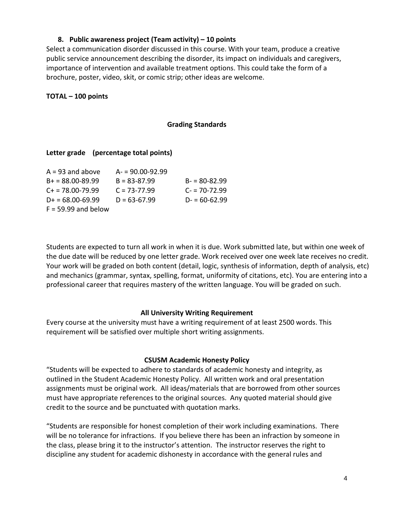#### **8. Public awareness project (Team activity) – 10 points**

 Select a communication disorder discussed in this course. With your team, produce a creative public service announcement describing the disorder, its impact on individuals and caregivers, importance of intervention and available treatment options. This could take the form of a brochure, poster, video, skit, or comic strip; other ideas are welcome.

## **TOTAL – 100 points**

#### **Grading Standards**

## **Letter grade (percentage total points)**

| $A = 93$ and above      | $A = 90.00 - 92.99$ |                  |
|-------------------------|---------------------|------------------|
| $B+ = 88.00 - 89.99$    | $B = 83 - 87.99$    | $B = 80-82.99$   |
| $C_{\pm}$ = 78.00-79.99 | $C = 73 - 77.99$    | $C = 70 - 72.99$ |
| $D_{+} = 68.00 - 69.99$ | $D = 63-67.99$      | $D = 60-62.99$   |
| $F = 59.99$ and below   |                     |                  |

 Students are expected to turn all work in when it is due. Work submitted late, but within one week of the due date will be reduced by one letter grade. Work received over one week late receives no credit. Your work will be graded on both content (detail, logic, synthesis of information, depth of analysis, etc) and mechanics (grammar, syntax, spelling, format, uniformity of citations, etc). You are entering into a professional career that requires mastery of the written language. You will be graded on such.

## **All University Writing Requirement**

 Every course at the university must have a writing requirement of at least 2500 words. This requirement will be satisfied over multiple short writing assignments.

#### **CSUSM Academic Honesty Policy**

 "Students will be expected to adhere to standards of academic honesty and integrity, as outlined in the Student Academic Honesty Policy. All written work and oral presentation assignments must be original work. All ideas/materials that are borrowed from other sources must have appropriate references to the original sources. Any quoted material should give credit to the source and be punctuated with quotation marks.

 "Students are responsible for honest completion of their work including examinations. There will be no tolerance for infractions. If you believe there has been an infraction by someone in the class, please bring it to the instructor's attention. The instructor reserves the right to discipline any student for academic dishonesty in accordance with the general rules and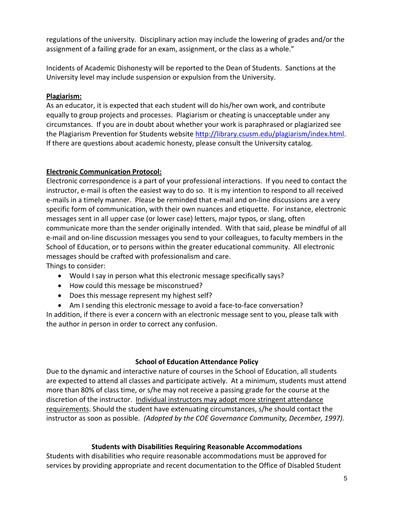regulations of the university. Disciplinary action may include the lowering of grades and/or the assignment of a failing grade for an exam, assignment, or the class as a whole."

 Incidents of Academic Dishonesty will be reported to the Dean of Students. Sanctions at the University level may include suspension or expulsion from the University.

## **Plagiarism:**

 As an educator, it is expected that each student will do his/her own work, and contribute equally to group projects and processes. Plagiarism or cheating is unacceptable under any circumstances. If you are in doubt about whether your work is paraphrased or plagiarized see the Plagiarism Prevention for Students website http://library.csusm.edu/plagiarism/index.html. If there are questions about academic honesty, please consult the University catalog.

## **Electronic Communication Protocol:**

 Electronic correspondence is a part of your professional interactions. If you need to contact the instructor, e‐mail is often the easiest way to do so. It is my intention to respond to all received e‐mails in a timely manner. Please be reminded that e‐mail and on‐line discussions are a very specific form of communication, with their own nuances and etiquette. For instance, electronic messages sent in all upper case (or lower case) letters, major typos, or slang, often communicate more than the sender originally intended. With that said, please be mindful of all e‐mail and on‐line discussion messages you send to your colleagues, to faculty members in the School of Education, or to persons within the greater educational community. All electronic messages should be crafted with professionalism and care. Things to consider:

- Would I say in person what this electronic message specifically says?
- How could this message be misconstrued?
- Does this message represent my highest self?
- Am I sending this electronic message to avoid a face-to-face conversation?

 In addition, if there is ever a concern with an electronic message sent to you, please talk with the author in person in order to correct any confusion.

## **School of Education Attendance Policy**

 Due to the dynamic and interactive nature of courses in the School of Education, all students are expected to attend all classes and participate actively. At a minimum, students must attend more than 80% of class time, or s/he may not receive a passing grade for the course at the discretion of the instructor. Individual instructors may adopt more stringent attendance requirements. Should the student have extenuating circumstances, s/he should contact the  instructor as soon as possible. *(Adopted by the COE Governance Community, December, 1997).*

## **Students with Disabilities Requiring Reasonable Accommodations**

 Students with disabilities who require reasonable accommodations must be approved for services by providing appropriate and recent documentation to the Office of Disabled Student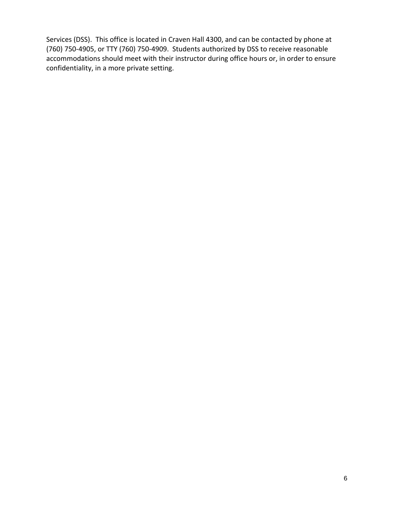Services (DSS). This office is located in Craven Hall 4300, and can be contacted by phone at (760) 750‐4905, or TTY (760) 750‐4909. Students authorized by DSS to receive reasonable accommodations should meet with their instructor during office hours or, in order to ensure confidentiality, in a more private setting.